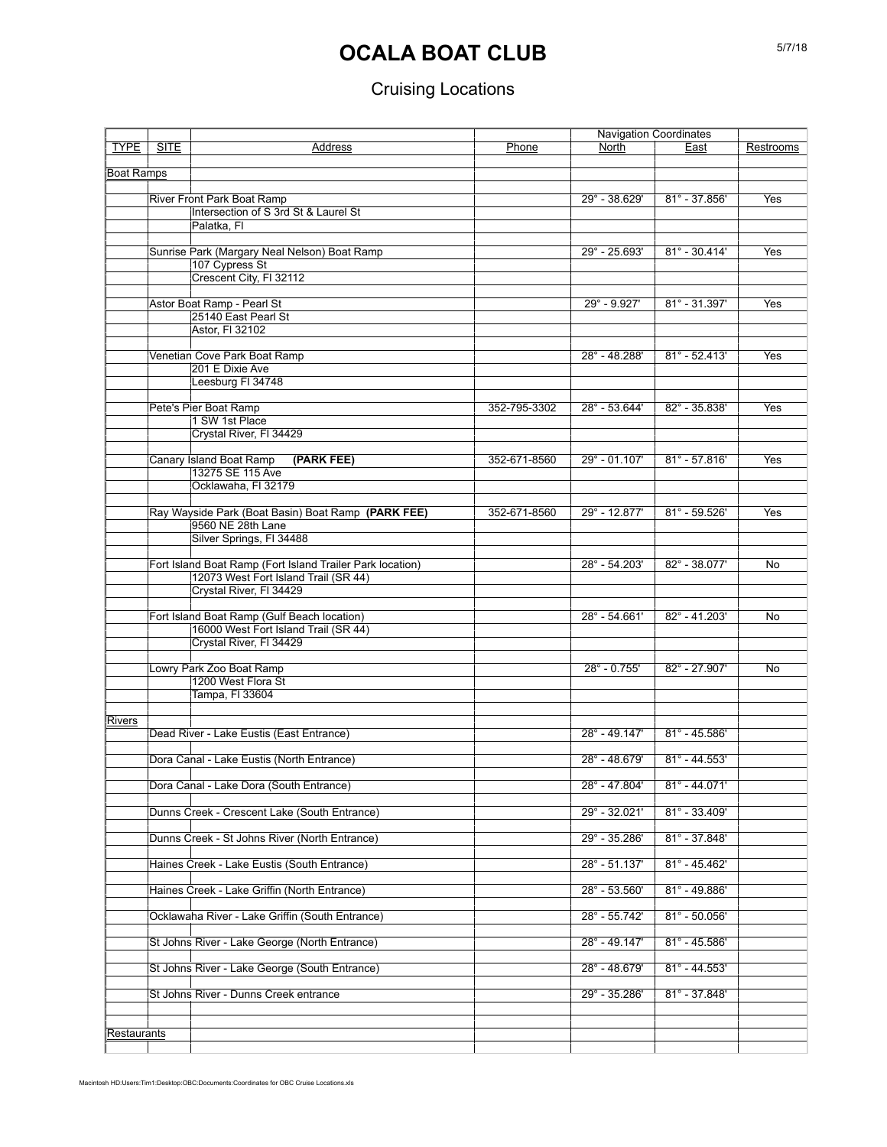## **OCALA BOAT CLUB**

Cruising Locations